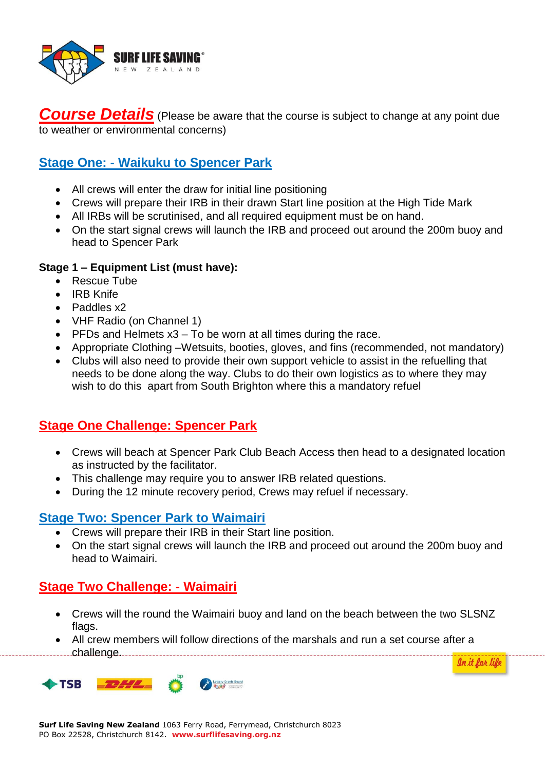

**Course Details** (Please be aware that the course is subject to change at any point due to weather or environmental concerns)

## **Stage One: - Waikuku to Spencer Park**

- All crews will enter the draw for initial line positioning
- Crews will prepare their IRB in their drawn Start line position at the High Tide Mark
- All IRBs will be scrutinised, and all required equipment must be on hand.
- On the start signal crews will launch the IRB and proceed out around the 200m buoy and head to Spencer Park

#### **Stage 1 – Equipment List (must have):**

- Rescue Tube
- IRB Knife
- Paddles x2
- VHF Radio (on Channel 1)
- $\bullet$  PFDs and Helmets  $x3 To$  be worn at all times during the race.
- Appropriate Clothing –Wetsuits, booties, gloves, and fins (recommended, not mandatory)
- Clubs will also need to provide their own support vehicle to assist in the refuelling that needs to be done along the way. Clubs to do their own logistics as to where they may wish to do this apart from South Brighton where this a mandatory refuel

# **Stage One Challenge: Spencer Park**

- Crews will beach at Spencer Park Club Beach Access then head to a designated location as instructed by the facilitator.
- This challenge may require you to answer IRB related questions.
- During the 12 minute recovery period, Crews may refuel if necessary.

#### **Stage Two: Spencer Park to Waimairi**

- Crews will prepare their IRB in their Start line position.
- On the start signal crews will launch the IRB and proceed out around the 200m buoy and head to Waimairi.

#### **Stage Two Challenge: - Waimairi**

 Crews will the round the Waimairi buoy and land on the beach between the two SLSNZ flags.

In it for life

 All crew members will follow directions of the marshals and run a set course after a challenge.



**Surf Life Saving New Zealand** 1063 Ferry Road, Ferrymead, Christchurch 8023 PO Box 22528, Christchurch 8142. **www.surflifesaving.org.nz**